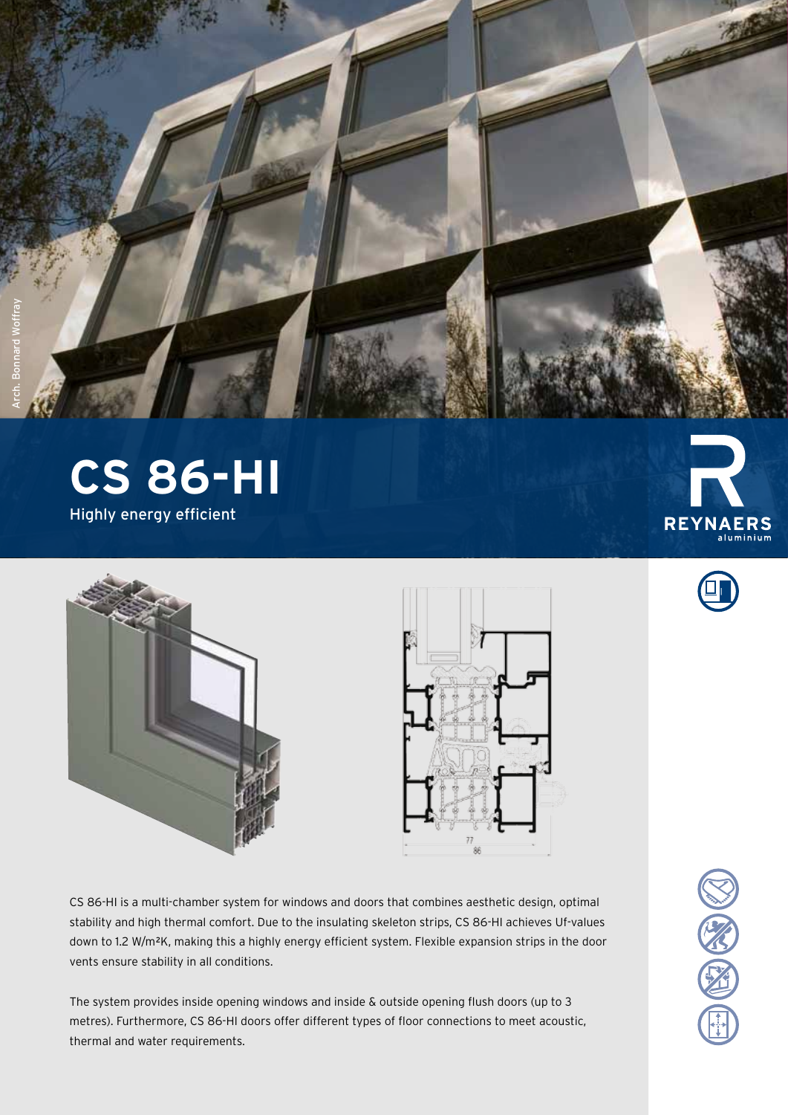

**CS 86-HI** Highly energy efficient





CS 86-HI is a multi-chamber system for windows and doors that combines aesthetic design, optimal stability and high thermal comfort. Due to the insulating skeleton strips, CS 86-HI achieves Uf-values down to 1.2 W/m²K, making this a highly energy efficient system. Flexible expansion strips in the door vents ensure stability in all conditions.

The system provides inside opening windows and inside & outside opening flush doors (up to 3 metres). Furthermore, CS 86-HI doors offer different types of floor connections to meet acoustic, thermal and water requirements.